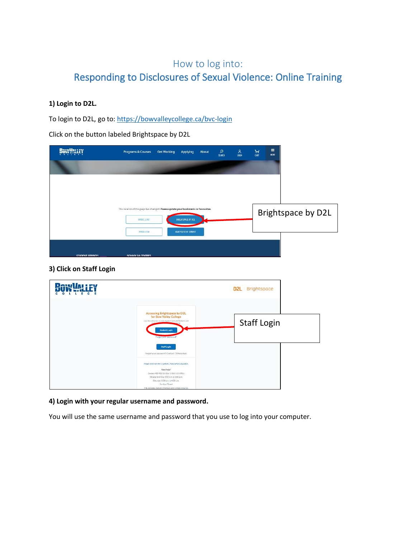# How to log into: Responding to Disclosures of Sexual Violence: Online Training

### **1) Login to D2L.**

To login to D2L, go to: <https://bowvalleycollege.ca/bvc-login>

Click on the button labeled Brightspace by D2L

| <b>BOW YALLEY</b>       | <b>Programs &amp; Courses</b>                                                                             | <b>Get Working</b> | Applying                  | About | $\mathsf{\Omega}$<br>SEARCH | $rac{8}{100}$ | $\frac{1}{\text{CRT}}$ | $\equiv$<br>MORE |                    |
|-------------------------|-----------------------------------------------------------------------------------------------------------|--------------------|---------------------------|-------|-----------------------------|---------------|------------------------|------------------|--------------------|
|                         |                                                                                                           |                    |                           |       |                             |               |                        |                  |                    |
|                         |                                                                                                           |                    |                           |       |                             |               |                        |                  |                    |
|                         |                                                                                                           |                    |                           |       |                             |               |                        |                  |                    |
|                         | This location of this page has changed. Please update your bookmarks or favourites.<br><b>MYBVC STAFF</b> |                    | <b>BRIGHTSPACE BY D2L</b> |       |                             |               |                        |                  | Brightspace by D2L |
|                         | IYNDA.COM                                                                                                 |                    | AGRESSO SELF SERVICE      |       |                             |               |                        |                  |                    |
|                         |                                                                                                           |                    |                           |       |                             |               |                        |                  |                    |
| <b>STUDENT SERVICES</b> | <b>SCHOOLS &amp; CENTRES</b>                                                                              |                    |                           |       |                             |               |                        |                  |                    |

### **3) Click on Staff Login**

| <b>Desvilor: EV</b><br>о |                                                                                                                                                                                                                                                                             | <b>D2L</b> Brightspace |
|--------------------------|-----------------------------------------------------------------------------------------------------------------------------------------------------------------------------------------------------------------------------------------------------------------------------|------------------------|
|                          | Accessing Brightspace by D2L<br>for Bow Valley College<br>Los in to investment counter, explore tools and features, and<br><b>Student Login</b><br>Forgot your password?                                                                                                    | <b>Staff Login</b>     |
|                          | <b>Staff Login</b><br>Forgot your password? Contact ITS Helpdesk                                                                                                                                                                                                            |                        |
|                          | Please dilektrere for a System Checkbefore you log in.<br>Need help?<br>Contact 403-413-1611 or 1-866-615-8923.<br>Monday to Friday: 9:00 a.m. to 9:00 p.m.<br>Saturday: 8:30 a.m. to 4:30 p.m.<br>Sunday: Closed<br>This excludes statutory holidays and College closures. |                        |

### **4) Login with your regular username and password.**

You will use the same username and password that you use to log into your computer.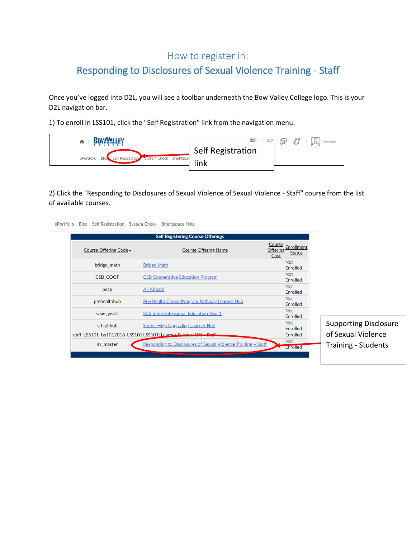## How to register in:

# Responding to Disclosures of Sexual Violence Training - Staff

Once you've logged into D2L, you will see a toolbar underneath the Bow Valley College logo. This is your D2L navigation bar.

1) To enroll in LSS101, click the "Self Registration" link from the navigation menu.

| BOWYALLEY                                                      | 888               | € | $\mathbb{C}$ | <b>Tracy Inaba</b><br>$\lambda$ |
|----------------------------------------------------------------|-------------------|---|--------------|---------------------------------|
|                                                                | Self Registration |   |              |                                 |
| Self Registration System Check Brightspa<br>ePortfolio<br>Blos | link              |   |              |                                 |
|                                                                |                   |   |              |                                 |

2) Click the "Responding to Disclosures of Sexual Violence of Sexual Violence - Staff" course from the list of available courses.

|                        | <b>Self Registering Course Offerings</b>                         |                                   |                             |                              |
|------------------------|------------------------------------------------------------------|-----------------------------------|-----------------------------|------------------------------|
| Course Offering Code - | <b>Course Offering Name</b>                                      | Course<br><b>Offering</b><br>Cost | Enrollment<br><b>Status</b> |                              |
| bridge math            | <b>Bridge Math</b>                                               |                                   | <b>Not</b><br>Enrolled      |                              |
| <b>CSB COOP</b>        | <b>CSB Cooperative Education Program</b>                         |                                   | <b>Not</b><br>Enrolled      |                              |
| pcap                   | <b>All Aboard</b>                                                |                                   | Not<br><b>Enrolled</b>      |                              |
| prehealthhub           | Pre-Health Career Program Pathway Learner Hub                    |                                   | <b>Not</b><br>Enrolled      |                              |
| scsie_year1            | <b>SCS Interprofessional Education Year 1</b>                    |                                   | <b>Not</b><br>Enrolled      |                              |
| srhighhub              | <b>Senior High Upgrading Learner Hub</b>                         |                                   | <b>Not</b><br>Enrolled      | <b>Supporting Disclosure</b> |
|                        | staff_LSS101_lss1012018_LSS101 LSS101: Learner Success 101 Staff |                                   | <b>Enrolled</b>             | of Sexual Violence           |
| sv_master              | Responding to Disclosures of Sexual Violence Training - Staff    |                                   | <b>Not</b>                  | <b>Training - Students</b>   |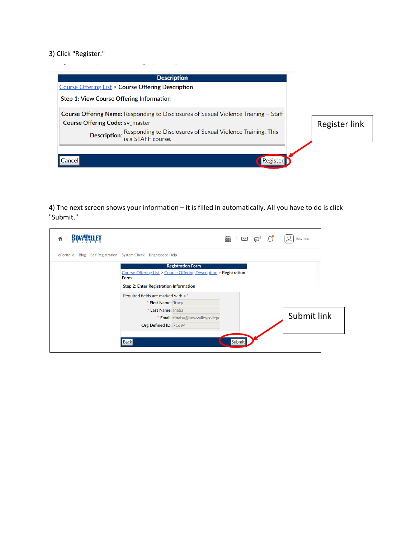#### 3) Click "Register."



4) The next screen shows your information – it is filled in automatically. All you have to do is click "Submit."

|            |                                                                                                                                                                                                               | 器 □ 匀 ☆ | <b>Tracy Inaba</b> |  |
|------------|---------------------------------------------------------------------------------------------------------------------------------------------------------------------------------------------------------------|---------|--------------------|--|
| ePortfolio | Blog Self Registration System Check Brightspace Help                                                                                                                                                          |         |                    |  |
|            | <b>Registration Form</b><br>Course Offering List > Course Offering Description > Registration<br>Form<br>Step 2: Enter Registration Information<br>Required fields are marked with a *<br>* First Name: Tracy |         |                    |  |
|            | * Last Name: Inaba<br>* Email: tinaba@bowvalleycollege<br>Org Defined ID: 71694                                                                                                                               |         | Submit link        |  |
|            | <b>Back</b>                                                                                                                                                                                                   | Submit  |                    |  |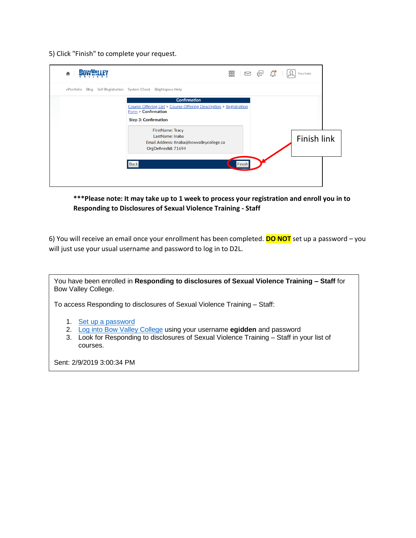5) Click "Finish" to complete your request.

| <b>RAHAVI</b> NI I FY<br>A | 器 Ⅳ 9 0                                                                                                                                                                                                                                                                                   |  | Tracy Inaba |  |
|----------------------------|-------------------------------------------------------------------------------------------------------------------------------------------------------------------------------------------------------------------------------------------------------------------------------------------|--|-------------|--|
| ePortfolio                 | Blog Self Registration System Check Brightspace Help                                                                                                                                                                                                                                      |  |             |  |
|                            | <b>Confirmation</b><br>Course Offering List > Course Offering Description > Registration<br>Form > Confirmation<br><b>Step 3: Confirmation</b><br><b>FirstName: Tracy</b><br>LastName: Inaba<br>Email Address: tinaba@bowvalleycollege.ca<br>OrgDefinedId: 71694<br><b>Back</b><br>Finish |  | Finish link |  |
|                            |                                                                                                                                                                                                                                                                                           |  |             |  |

**\*\*\*Please note: It may take up to 1 week to process your registration and enroll you in to Responding to Disclosures of Sexual Violence Training - Staff**

6) You will receive an email once your enrollment has been completed. **DO NOT** set up a password – you will just use your usual username and password to log in to D2L.

You have been enrolled in **Responding to disclosures of Sexual Violence Training – Staff** for Bow Valley College.

To access Responding to disclosures of Sexual Violence Training – Staff:

- 1. [Set up a password](https://d2l.bowvalleycollege.ca/d2l/lp/resetPassword/ResetPassword.d2l?token=xSIAAAAAAADEusYjHZgtfcc9aKlBmluDxmvcyw%3D%3D)
- 2. [Log into Bow Valley College](https://secure-web.cisco.com/16hvkthtYBMNsxuRYVwZfh-0z5-zedfLKHgo97h_gHxmXA3d2EPLr9HS1zUuLIUpCT6JH2qOW7IOMWUwMPJxr9lqorwH2KEFd3eKobu-8ztQpMJIk4bpqbQ4oYGFj0Dyz2nI6MgjNasVbnHdr7vypINX5KsxS_pYA_5qi4Q1TE19papVDxEPkr_27vPDTeAVn2qR05DxglFwm7m90jnHEEIqBMea49dHDmqPSd-1hOoTk8pcwJMenMHciSe_YeBmm5Tps25uwKJF9B5V8ALR6OKd7LMMBluVVnd5Mm7571Jh3s6-v29bclvd8seQL-GSpk8Da8LEXCTai66cdvQG0q0fREbgldxoEo9HmyAQ064Y/https%3A%2F%2Fwww.mybvc.ca%2Fd2l%2Fsignout.aspx%3Flogout%3D1) using your username **egidden** and password
- 3. Look for Responding to disclosures of Sexual Violence Training Staff in your list of courses.

Sent: 2/9/2019 3:00:34 PM